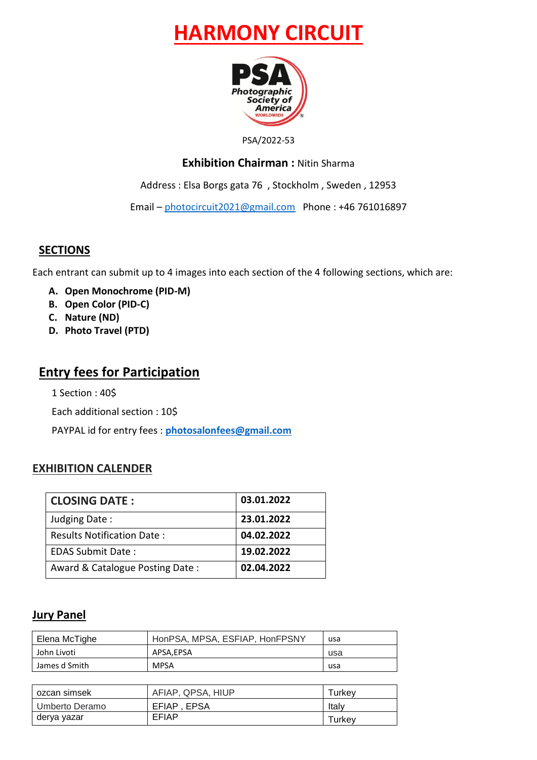# **HARMONY CIRCUIT**



#### PSA/2022-53

### **Exhibition Chairman :** Nitin Sharma

Address : Elsa Borgs gata 76 , Stockholm , Sweden , 12953

Email – [photocircuit2021@gmail.com](mailto:photocircuit2021@gmail.com) Phone : +46 761016897

### **SECTIONS**

Each entrant can submit up to 4 images into each section of the 4 following sections, which are:

- **A. Open Monochrome (PID-M)**
- **B. Open Color (PID-C)**
- **C. Nature (ND)**
- **D. Photo Travel (PTD)**

### **Entry fees for Participation**

1 Section : 40\$

Each additional section : 10\$

PAYPAL id for entry fees : **[photosalonfees@gmail.com](mailto:photosalonfees@gmail.com)**

### **EXHIBITION CALENDER**

| <b>CLOSING DATE:</b>              | 03.01.2022 |
|-----------------------------------|------------|
| Judging Date:                     | 23.01.2022 |
| <b>Results Notification Date:</b> | 04.02.2022 |
| <b>EDAS Submit Date:</b>          | 19.02.2022 |
| Award & Catalogue Posting Date:   | 02.04.2022 |

### **Jury Panel**

| Elena McTighe | HonPSA, MPSA, ESFIAP, HonFPSNY | usa |
|---------------|--------------------------------|-----|
| John Livoti   | APSA.EPSA                      | usa |
| James d Smith | <b>MPSA</b>                    | usa |

| ozcan simsek   | AFIAP, QPSA, HIUP | Turkev |
|----------------|-------------------|--------|
| Umberto Deramo | EFIAP, EPSA       | Italv  |
| derya yazar    | EFIAP             | Turkev |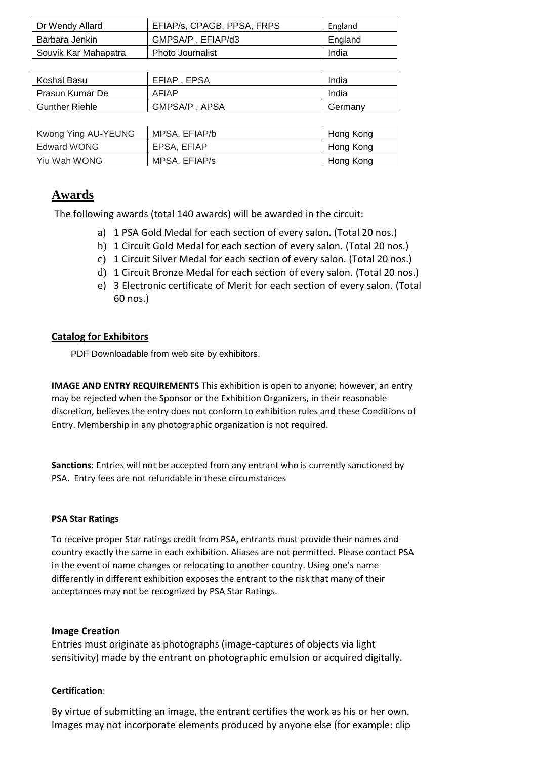| Dr Wendy Allard      | EFIAP/s, CPAGB, PPSA, FRPS | England |
|----------------------|----------------------------|---------|
| Barbara Jenkin       | GMPSA/P . EFIAP/d3         | England |
| Souvik Kar Mahapatra | <b>Photo Journalist</b>    | India   |

| Koshal Basu           | EFIAP . EPSA  | India   |
|-----------------------|---------------|---------|
| Prasun Kumar De       | AFIAP         | India   |
| <b>Gunther Riehle</b> | GMPSA/P, APSA | Germany |

| Kwong Ying AU-YEUNG | MPSA, EFIAP/b | Hong Kong |
|---------------------|---------------|-----------|
| Edward WONG         | EPSA, EFIAP   | Hong Kong |
| Yiu Wah WONG        | MPSA, EFIAP/s | Hong Kong |

### **Awards**

The following awards (total 140 awards) will be awarded in the circuit:

- a) 1 PSA Gold Medal for each section of every salon. (Total 20 nos.)
- b) 1 Circuit Gold Medal for each section of every salon. (Total 20 nos.)
- c) 1 Circuit Silver Medal for each section of every salon. (Total 20 nos.)
- d) 1 Circuit Bronze Medal for each section of every salon. (Total 20 nos.)
- e) 3 Electronic certificate of Merit for each section of every salon. (Total 60 nos.)

### **Catalog for Exhibitors**

PDF Downloadable from web site by exhibitors.

**IMAGE AND ENTRY REQUIREMENTS** This exhibition is open to anyone; however, an entry may be rejected when the Sponsor or the Exhibition Organizers, in their reasonable discretion, believes the entry does not conform to exhibition rules and these Conditions of Entry. Membership in any photographic organization is not required.

**Sanctions**: Entries will not be accepted from any entrant who is currently sanctioned by PSA. Entry fees are not refundable in these circumstances

### **PSA Star Ratings**

To receive proper Star ratings credit from PSA, entrants must provide their names and country exactly the same in each exhibition. Aliases are not permitted. Please contact PSA in the event of name changes or relocating to another country. Using one's name differently in different exhibition exposes the entrant to the risk that many of their acceptances may not be recognized by PSA Star Ratings.

### **Image Creation**

Entries must originate as photographs (image-captures of objects via light sensitivity) made by the entrant on photographic emulsion or acquired digitally.

### **Certification**:

By virtue of submitting an image, the entrant certifies the work as his or her own. Images may not incorporate elements produced by anyone else (for example: clip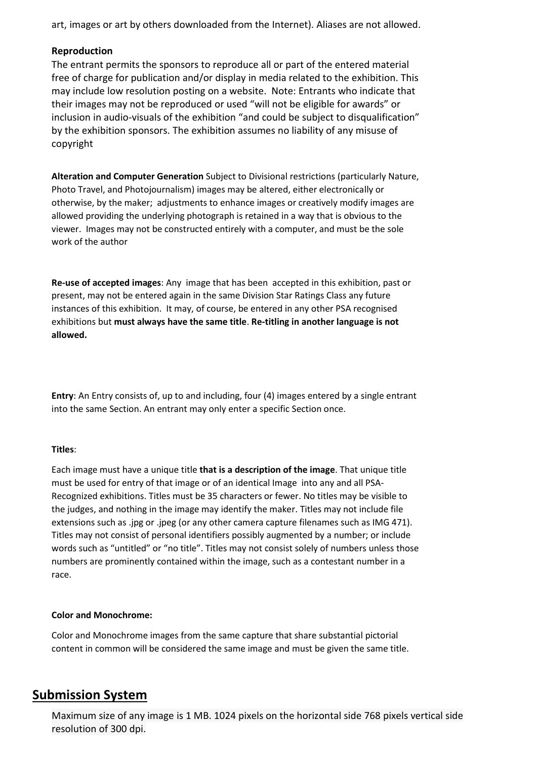art, images or art by others downloaded from the Internet). Aliases are not allowed.

#### **Reproduction**

The entrant permits the sponsors to reproduce all or part of the entered material free of charge for publication and/or display in media related to the exhibition. This may include low resolution posting on a website. Note: Entrants who indicate that their images may not be reproduced or used "will not be eligible for awards" or inclusion in audio-visuals of the exhibition "and could be subject to disqualification" by the exhibition sponsors. The exhibition assumes no liability of any misuse of copyright

**Alteration and Computer Generation** Subject to Divisional restrictions (particularly Nature, Photo Travel, and Photojournalism) images may be altered, either electronically or otherwise, by the maker; adjustments to enhance images or creatively modify images are allowed providing the underlying photograph is retained in a way that is obvious to the viewer. Images may not be constructed entirely with a computer, and must be the sole work of the author

**Re-use of accepted images**: Any image that has been accepted in this exhibition, past or present, may not be entered again in the same Division Star Ratings Class any future instances of this exhibition. It may, of course, be entered in any other PSA recognised exhibitions but **must always have the same title**. **Re-titling in another language is not allowed.**

**Entry**: An Entry consists of, up to and including, four (4) images entered by a single entrant into the same Section. An entrant may only enter a specific Section once.

#### **Titles**:

Each image must have a unique title **that is a description of the image**. That unique title must be used for entry of that image or of an identical Image into any and all PSA-Recognized exhibitions. Titles must be 35 characters or fewer. No titles may be visible to the judges, and nothing in the image may identify the maker. Titles may not include file extensions such as .jpg or .jpeg (or any other camera capture filenames such as IMG 471). Titles may not consist of personal identifiers possibly augmented by a number; or include words such as "untitled" or "no title". Titles may not consist solely of numbers unless those numbers are prominently contained within the image, such as a contestant number in a race.

#### **Color and Monochrome:**

Color and Monochrome images from the same capture that share substantial pictorial content in common will be considered the same image and must be given the same title.

### **Submission System**

Maximum size of any image is 1 MB. 1024 pixels on the horizontal side 768 pixels vertical side resolution of 300 dpi.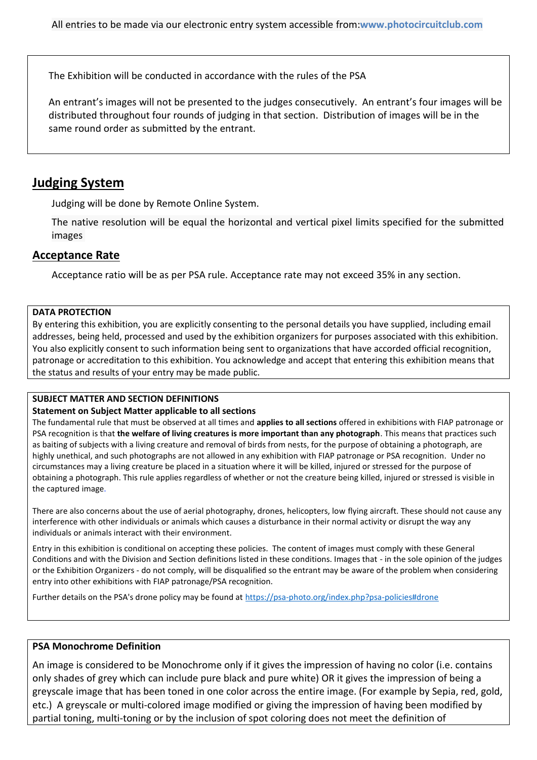The Exhibition will be conducted in accordance with the rules of the PSA

An entrant's images will not be presented to the judges consecutively. An entrant's four images will be distributed throughout four rounds of judging in that section. Distribution of images will be in the same round order as submitted by the entrant.

### **Judging System**

Judging will be done by Remote Online System.

The native resolution will be equal the horizontal and vertical pixel limits specified for the submitted images

### **Acceptance Rate**

Acceptance ratio will be as per PSA rule. Acceptance rate may not exceed 35% in any section.

### **DATA PROTECTION**

By entering this exhibition, you are explicitly consenting to the personal details you have supplied, including email addresses, being held, processed and used by the exhibition organizers for purposes associated with this exhibition. You also explicitly consent to such information being sent to organizations that have accorded official recognition, patronage or accreditation to this exhibition. You acknowledge and accept that entering this exhibition means that the status and results of your entry may be made public.

### **SUBJECT MATTER AND SECTION DEFINITIONS**

### **Statement on Subject Matter applicable to all sections**

The fundamental rule that must be observed at all times and **applies to all sections** offered in exhibitions with FIAP patronage or PSA recognition is that **the welfare of living creatures is more important than any photograph**. This means that practices such as baiting of subjects with a living creature and removal of birds from nests, for the purpose of obtaining a photograph, are highly unethical, and such photographs are not allowed in any exhibition with FIAP patronage or PSA recognition. Under no circumstances may a living creature be placed in a situation where it will be killed, injured or stressed for the purpose of obtaining a photograph. This rule applies regardless of whether or not the creature being killed, injured or stressed is visible in the captured image.

There are also concerns about the use of aerial photography, drones, helicopters, low flying aircraft. These should not cause any interference with other individuals or animals which causes a disturbance in their normal activity or disrupt the way any individuals or animals interact with their environment.

Entry in this exhibition is conditional on accepting these policies. The content of images must comply with these General Conditions and with the Division and Section definitions listed in these conditions. Images that - in the sole opinion of the judges or the Exhibition Organizers - do not comply, will be disqualified so the entrant may be aware of the problem when considering entry into other exhibitions with FIAP patronage/PSA recognition.

Further details on the PSA's drone policy may be found at [https://psa-photo.org/index.php?psa-policies#drone](https://psa-photo.org/index.php?psa-policies%23drone)

### **PSA Monochrome Definition**

An image is considered to be Monochrome only if it gives the impression of having no color (i.e. contains only shades of grey which can include pure black and pure white) OR it gives the impression of being a greyscale image that has been toned in one color across the entire image. (For example by Sepia, red, gold, etc.) A greyscale or multi-colored image modified or giving the impression of having been modified by partial toning, multi-toning or by the inclusion of spot coloring does not meet the definition of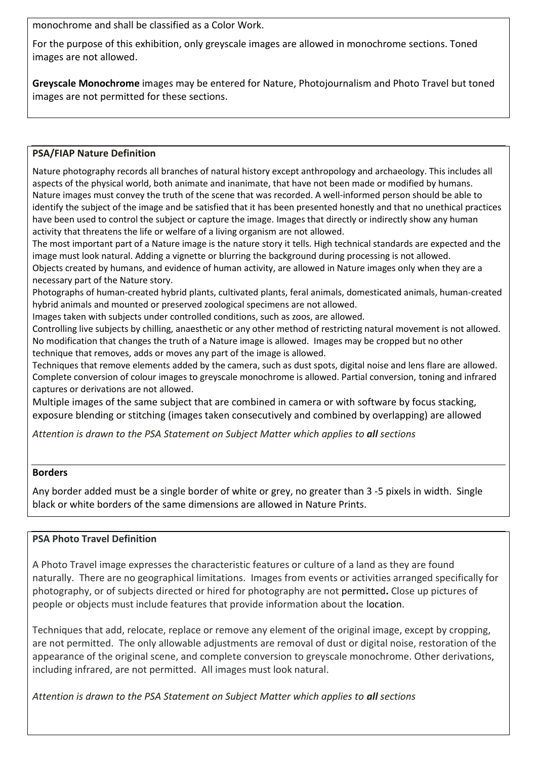monochrome and shall be classified as a Color Work.

For the purpose of this exhibition, only greyscale images are allowed in monochrome sections. Toned images are not allowed.

**Greyscale Monochrome** images may be entered for Nature, Photojournalism and Photo Travel but toned images are not permitted for these sections.

### **PSA/FIAP Nature Definition**

Nature photography records all branches of natural history except anthropology and archaeology. This includes all aspects of the physical world, both animate and inanimate, that have not been made or modified by humans. Nature images must convey the truth of the scene that was recorded. A well-informed person should be able to identify the subject of the image and be satisfied that it has been presented honestly and that no unethical practices have been used to control the subject or capture the image. Images that directly or indirectly show any human activity that threatens the life or welfare of a living organism are not allowed.

The most important part of a Nature image is the nature story it tells. High technical standards are expected and the image must look natural. Adding a vignette or blurring the background during processing is not allowed.

Objects created by humans, and evidence of human activity, are allowed in Nature images only when they are a necessary part of the Nature story.

Photographs of human-created hybrid plants, cultivated plants, feral animals, domesticated animals, human-created hybrid animals and mounted or preserved zoological specimens are not allowed.

Images taken with subjects under controlled conditions, such as zoos, are allowed.

Controlling live subjects by chilling, anaesthetic or any other method of restricting natural movement is not allowed. No modification that changes the truth of a Nature image is allowed. Images may be cropped but no other technique that removes, adds or moves any part of the image is allowed.

Techniques that remove elements added by the camera, such as dust spots, digital noise and lens flare are allowed. Complete conversion of colour images to greyscale monochrome is allowed. Partial conversion, toning and infrared captures or derivations are not allowed.

Multiple images of the same subject that are combined in camera or with software by focus stacking, exposure blending or stitching (images taken consecutively and combined by overlapping) are allowed

*Attention is drawn to the PSA Statement on Subject Matter which applies to all sections*

### **Borders**

Any border added must be a single border of white or grey, no greater than 3 -5 pixels in width. Single black or white borders of the same dimensions are allowed in Nature Prints.

### **PSA Photo Travel Definition**

A Photo Travel image expresses the characteristic features or culture of a land as they are found naturally. There are no geographical limitations. Images from events or activities arranged specifically for photography, or of subjects directed or hired for photography are not permitted**.** Close up pictures of people or objects must include features that provide information about the location.

Techniques that add, relocate, replace or remove any element of the original image, except by cropping, are not permitted. The only allowable adjustments are removal of dust or digital noise, restoration of the appearance of the original scene, and complete conversion to greyscale monochrome. Other derivations, including infrared, are not permitted. All images must look natural.

*Attention is drawn to the PSA Statement on Subject Matter which applies to all sections*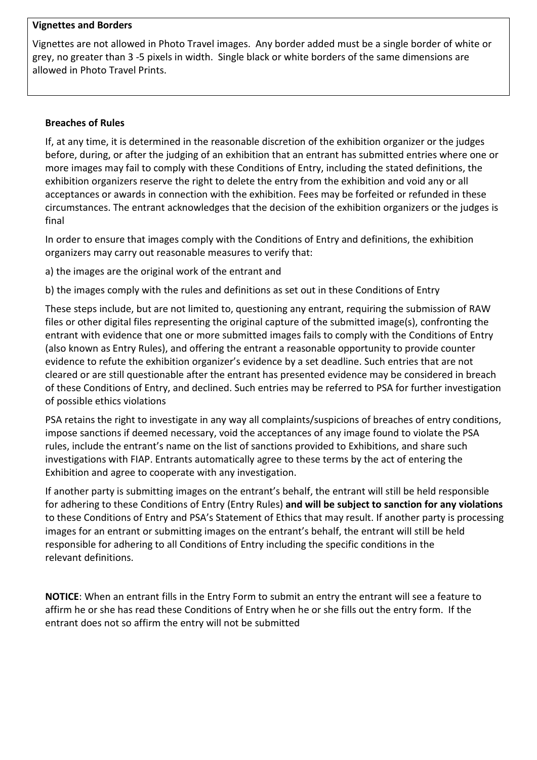### **Vignettes and Borders**

Vignettes are not allowed in Photo Travel images. Any border added must be a single border of white or grey, no greater than 3 -5 pixels in width. Single black or white borders of the same dimensions are allowed in Photo Travel Prints.

#### **Breaches of Rules**

If, at any time, it is determined in the reasonable discretion of the exhibition organizer or the judges before, during, or after the judging of an exhibition that an entrant has submitted entries where one or more images may fail to comply with these Conditions of Entry, including the stated definitions, the exhibition organizers reserve the right to delete the entry from the exhibition and void any or all acceptances or awards in connection with the exhibition. Fees may be forfeited or refunded in these circumstances. The entrant acknowledges that the decision of the exhibition organizers or the judges is final

In order to ensure that images comply with the Conditions of Entry and definitions, the exhibition organizers may carry out reasonable measures to verify that:

a) the images are the original work of the entrant and

b) the images comply with the rules and definitions as set out in these Conditions of Entry

These steps include, but are not limited to, questioning any entrant, requiring the submission of RAW files or other digital files representing the original capture of the submitted image(s), confronting the entrant with evidence that one or more submitted images fails to comply with the Conditions of Entry (also known as Entry Rules), and offering the entrant a reasonable opportunity to provide counter evidence to refute the exhibition organizer's evidence by a set deadline. Such entries that are not cleared or are still questionable after the entrant has presented evidence may be considered in breach of these Conditions of Entry, and declined. Such entries may be referred to PSA for further investigation of possible ethics violations

PSA retains the right to investigate in any way all complaints/suspicions of breaches of entry conditions, impose sanctions if deemed necessary, void the acceptances of any image found to violate the PSA rules, include the entrant's name on the list of sanctions provided to Exhibitions, and share such investigations with FIAP. Entrants automatically agree to these terms by the act of entering the Exhibition and agree to cooperate with any investigation.

If another party is submitting images on the entrant's behalf, the entrant will still be held responsible for adhering to these Conditions of Entry (Entry Rules) **and will be subject to sanction for any violations** to these Conditions of Entry and PSA's Statement of Ethics that may result. If another party is processing images for an entrant or submitting images on the entrant's behalf, the entrant will still be held responsible for adhering to all Conditions of Entry including the specific conditions in the relevant definitions.

**NOTICE**: When an entrant fills in the Entry Form to submit an entry the entrant will see a feature to affirm he or she has read these Conditions of Entry when he or she fills out the entry form. If the entrant does not so affirm the entry will not be submitted